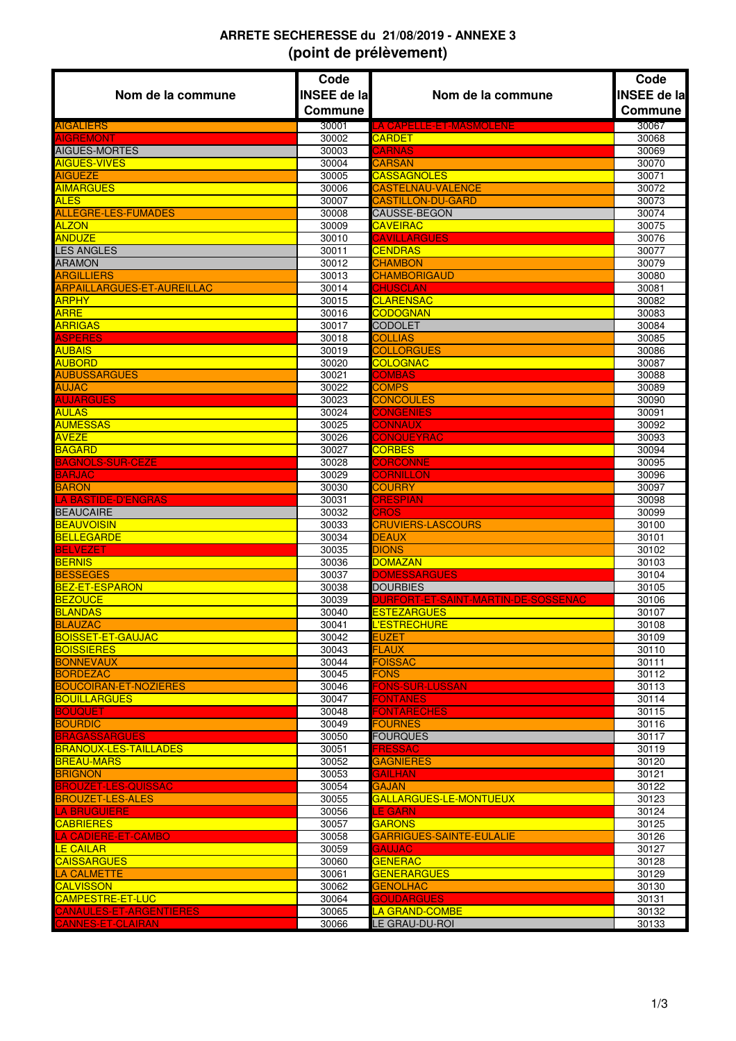## **ARRETE SECHERESSE du 21/08/2019 - ANNEXE 3 (point de prélèvement)**

|                                                       | Code               |                                        | Code               |
|-------------------------------------------------------|--------------------|----------------------------------------|--------------------|
| Nom de la commune                                     | <b>INSEE de la</b> | Nom de la commune                      | <b>INSEE de la</b> |
|                                                       | Commune            |                                        | Commune            |
| <b>AIGALIERS</b>                                      | 30001              | LA CAPELLE-ET-MASMOLENE                | 30067              |
| <b>AIGREMONT</b>                                      | 30002              | <b>CARDET</b>                          | 30068              |
| AIGUES-MORTES<br><b>AIGUES-VIVES</b>                  | 30003<br>30004     | <b>CARNAS</b><br><b>CARSAN</b>         | 30069<br>30070     |
| <b>AIGUEZE</b>                                        | 30005              | <b>CASSAGNOLES</b>                     | 30071              |
| <b>AIMARGUES</b>                                      | 30006              | <b>CASTELNAU-VALENCE</b>               | 30072              |
| <b>ALES</b>                                           | 30007              | <b>CASTILLON-DU-GARD</b>               | 30073              |
| <b>ALLEGRE-LES-FUMADES</b>                            | 30008              | <b>CAUSSE-BEGON</b>                    | 30074              |
| <b>ALZON</b>                                          | 30009              | <b>CAVEIRAC</b>                        | 30075              |
| <b>ANDUZE</b>                                         | 30010              | <b>CAVILLARGUES</b>                    | 30076              |
| <b>LES ANGLES</b><br><b>ARAMON</b>                    | 30011<br>30012     | <b>CENDRAS</b><br><b>CHAMBON</b>       | 30077<br>30079     |
| <b>ARGILLIERS</b>                                     | 30013              | <b>CHAMBORIGAUD</b>                    | 30080              |
| <b>ARPAILLARGUES-ET-AUREILLAC</b>                     | 30014              | <b>CHUSCLAN</b>                        | 30081              |
| <b>ARPHY</b>                                          | 30015              | <b>CLARENSAC</b>                       | 30082              |
| <b>ARRE</b>                                           | 30016              | <b>CODOGNAN</b>                        | 30083              |
| <b>ARRIGAS</b>                                        | 30017              | <b>CODOLET</b>                         | 30084              |
| <b>ASPERES</b>                                        | 30018              | <b>COLLIAS</b>                         | 30085              |
| <b>AUBAIS</b>                                         | 30019              | <b>COLLORGUES</b><br><b>COLOGNAC</b>   | 30086              |
| <b>AUBORD</b><br><b>AUBUSSARGUES</b>                  | 30020<br>30021     | <b>COMBAS</b>                          | 30087<br>30088     |
| <b>AUJAC</b>                                          | 30022              | <b>COMPS</b>                           | 30089              |
| <b>AUJARGUES</b>                                      | 30023              | <b>CONCOULES</b>                       | 30090              |
| <b>AULAS</b>                                          | 30024              | <b>CONGENIES</b>                       | 30091              |
| <b>AUMESSAS</b>                                       | 30025              | <b>CONNAUX</b>                         | 30092              |
| <b>AVEZE</b>                                          | 30026              | <b>CONQUEYRAC</b>                      | 30093              |
| <b>BAGARD</b>                                         | 30027              | <b>CORBES</b>                          | 30094              |
| <b>BAGNOLS-SUR-CEZE</b>                               | 30028              | <b>CORCONNE</b>                        | 30095              |
| <b>BARJAC</b><br><b>BARON</b>                         | 30029<br>30030     | <b>CORNILLON</b><br><b>COURRY</b>      | 30096<br>30097     |
| <b>LA BASTIDE-D'ENGRAS</b>                            | 30031              | <b>CRESPIAN</b>                        | 30098              |
| <b>BEAUCAIRE</b>                                      | 30032              | <b>CROS</b>                            | 30099              |
| <b>BEAUVOISIN</b>                                     | 30033              | <b>CRUVIERS-LASCOURS</b>               | 30100              |
| <b>BELLEGARDE</b>                                     | 30034              | <b>DEAUX</b>                           | 30101              |
| <b>BELVEZET</b>                                       | 30035              | <b>DIONS</b>                           | 30102              |
| <b>BERNIS</b>                                         | 30036              | <b>DOMAZAN</b>                         | 30103              |
| <b>BESSEGES</b><br><b>BEZ-ET-ESPARON</b>              | 30037<br>30038     | <b>DOMESSARGUES</b><br><b>DOURBIES</b> | 30104<br>30105     |
| <b>BEZOUCE</b>                                        | 30039              | DURFORT-ET-SAINT-MARTIN-DE-SOSSENAC    | 30106              |
| BLANDAS                                               | 30040              | <b>ESTEZARGUES</b>                     | 30107              |
| <b>BLAUZAC</b>                                        | 30041              | L'ESTRECHURE                           | 30108              |
| <b>BOISSET-ET-GAUJAC</b>                              | 30042              | <b>EUZET</b>                           | 30109              |
| <b>BOISSIERES</b>                                     | 30043              | <b>FLAUX</b>                           | 30110              |
| <b>BONNEVAUX</b>                                      | 30044              | <b>FOISSAC</b>                         | 30111              |
| <b>BORDEZAC</b><br><b>BOUCOIRAN-ET-NOZIERES</b>       | 30045              | <b>FONS</b>                            | 30112              |
| <b>BOUILLARGUES</b>                                   | 30046<br>30047     | FONS-SUR-LUSSAN<br><b>FONTANES</b>     | 30113<br>30114     |
| <b>BOUQUET</b>                                        | 30048              | <b>FONTARECHES</b>                     | 30115              |
| <b>BOURDIC</b>                                        | 30049              | <b>FOURNES</b>                         | 30116              |
| <b>BRAGASSARGUES</b>                                  | 30050              | <b>FOURQUES</b>                        | 30117              |
| <b>BRANOUX-LES-TAILLADES</b>                          | 30051              | <b>FRESSAC</b>                         | 30119              |
| <b>BREAU-MARS</b>                                     | 30052              | GAGNIERES                              | 30120              |
| <b>BRIGNON</b>                                        | 30053              | GAILHAN                                | 30121              |
| <b>BROUZET-LES-QUISSAC</b><br><b>BROUZET-LES-ALES</b> | 30054<br>30055     | <b>GAJAN</b><br>GALLARGUES-LE-MONTUEUX | 30122<br>30123     |
| <b>LA BRUGUIERE</b>                                   | 30056              | <b>LE GARN</b>                         | 30124              |
| CABRIERES.                                            | 30057              | <b>GARONS</b>                          | 30125              |
| LA CADIERE-ET-CAMBO                                   | 30058              | GARRIGUES-SAINTE-EULALIE               | 30126              |
| <b>LE CAILAR</b>                                      | 30059              | <b>GAUJAC</b>                          | 30127              |
| <b>CAISSARGUES</b>                                    | 30060              | <b>GENERAC</b>                         | 30128              |
| <b>LA CALMETTE</b>                                    | 30061              | <b>GENERARGUES</b>                     | 30129              |
| <b>CALVISSON</b><br><b>CAMPESTRE-ET-LUC</b>           | 30062              | <b>GENOLHAC</b><br><b>GOUDARGUES</b>   | 30130              |
| CANAULES-ET-ARGENTIERES                               | 30064<br>30065     | LA GRAND-COMBE                         | 30131<br>30132     |
| <b>CANNES-ET-CLAIRAN</b>                              | 30066              | <b>LE GRAU-DU-ROI</b>                  | 30133              |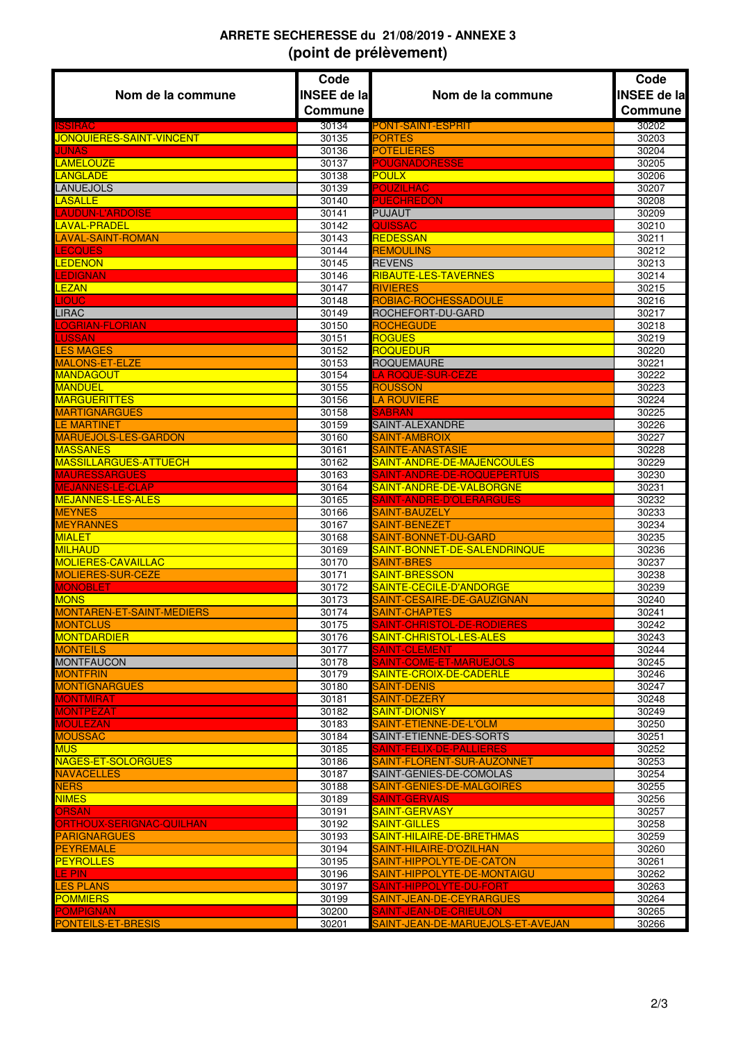## **ARRETE SECHERESSE du 21/08/2019 - ANNEXE 3 (point de prélèvement)**

|                                                 | Code               |                                                                | Code               |
|-------------------------------------------------|--------------------|----------------------------------------------------------------|--------------------|
| Nom de la commune                               | <b>INSEE de la</b> | Nom de la commune                                              | <b>INSEE de la</b> |
|                                                 | <b>Commune</b>     |                                                                | Commune            |
| <b>ISSIRAC</b>                                  | 30134              |                                                                | 30202              |
| JONQUIERES-SAINT-VINCENT                        | 30135              | <b>PONT-SAINT-ESPRIT</b><br><b>PORTES</b>                      | 30203              |
| <b>JUNAS</b>                                    | 30136              | <b>POTELIERES</b>                                              | 30204              |
| <b>LAMELOUZE</b>                                | 30137              | <b>POUGNADORESSE</b>                                           | 30205              |
| <b>LANGLADE</b>                                 | 30138              | <b>POULX</b>                                                   | 30206              |
| <b>LANUEJOLS</b>                                | 30139              | <b>POUZILHAC</b>                                               | 30207              |
| <b>LASALLE</b>                                  | 30140              | <b>PUECHREDON</b>                                              | 30208              |
| LAUDUN-L'ARDOISE                                | 30141              | <b>PUJAUT</b>                                                  | 30209              |
| LAVAL-PRADEL                                    | 30142              | <b>QUISSAC</b>                                                 | 30210              |
| <b>LAVAL-SAINT-ROMAN</b>                        | 30143              | <b>REDESSAN</b>                                                | 30211              |
| <b>LECQUES</b>                                  | 30144              | <b>REMOULINS</b>                                               | 30212              |
| <b>LEDENON</b>                                  | 30145              | <b>REVENS</b>                                                  | 30213              |
| <b>LEDIGNAN</b>                                 | 30146              | RIBAUTE-LES-TAVERNES                                           | 30214              |
| LEZAN                                           | 30147              | <b>RIVIERES</b>                                                | 30215              |
| <b>LIOUC</b><br><b>LIRAC</b>                    | 30148              | ROBIAC-ROCHESSADOULE<br>ROCHEFORT-DU-GARD                      | 30216<br>30217     |
| LOGRIAN-FLORIAN                                 | 30149<br>30150     | <b>ROCHEGUDE</b>                                               | 30218              |
| <b>LUSSAN</b>                                   | 30151              | <b>ROGUES</b>                                                  | 30219              |
| <b>LES MAGES</b>                                | 30152              | ROQUEDUR                                                       | 30220              |
| <b>MALONS-ET-ELZE</b>                           | 30153              | <b>ROQUEMAURE</b>                                              | 30221              |
| <b>MANDAGOUT</b>                                | 30154              | <b>LA ROQUE-SUR-CEZE</b>                                       | 30222              |
| <b>MANDUEL</b>                                  | 30155              | <b>ROUSSON</b>                                                 | 30223              |
| <b>MARGUERITTES</b>                             | 30156              | <b>LA ROUVIERE</b>                                             | 30224              |
| <b>MARTIGNARGUES</b>                            | 30158              | <b>SABRAN</b>                                                  | 30225              |
| <b>LE MARTINET</b>                              | 30159              | SAINT-ALEXANDRE                                                | 30226              |
| MARUEJOLS-LES-GARDON                            | 30160              | SAINT-AMBROIX                                                  | 30227              |
| <b>MASSANES</b>                                 | 30161              | <b>SAINTE-ANASTASIE</b>                                        | 30228              |
| <b>MASSILLARGUES-ATTUECH</b>                    | 30162              | SAINT-ANDRE-DE-MAJENCOULES                                     | 30229              |
| <b>MAURESSARGUES</b><br><b>MEJANNES-LE-CLAP</b> | 30163<br>30164     | <b>SAINT-ANDRE-DE-ROQUEPERTUIS</b><br>SAINT-ANDRE-DE-VALBORGNE | 30230<br>30231     |
| <b>MEJANNES-LES-ALES</b>                        | 30165              | SAINT-ANDRE-D'OLERARGUES                                       | 30232              |
| <b>MEYNES</b>                                   | 30166              | <b>SAINT-BAUZELY</b>                                           | 30233              |
| <b>MEYRANNES</b>                                | 30167              | SAINT-BENEZET                                                  | 30234              |
| <b>MIALET</b>                                   | 30168              | SAINT-BONNET-DU-GARD                                           | 30235              |
| <b>MILHAUD</b>                                  | 30169              | SAINT-BONNET-DE-SALENDRINQUE                                   | 30236              |
| <b>MOLIERES-CAVAILLAC</b>                       | 30170              | <b>SAINT-BRES</b>                                              | 30237              |
| <b>MOLIERES-SUR-CEZE</b>                        | 30171              | SAINT-BRESSON                                                  | 30238              |
| <b>MONOBLET</b>                                 | 30172              | SAINTE-CECILE-D'ANDORGE                                        | 30239              |
| <b>MONS</b>                                     | 30173              | SAINT-CESAIRE-DE-GAUZIGNAN                                     | 30240              |
| <b>MONTAREN-ET-SAINT-MEDIERS</b>                | 30174              | SAINT-CHAPTES<br>SAINT-CHRISTOL-DE-RODIERES                    | 30241              |
| <b>MONTCLUS</b><br><u>MONTDARDIER</u>           | 30175<br>30176     | SAINT-CHRISTOL-LES-ALES                                        | 30242<br>30243     |
| <b>MONTEILS</b>                                 | 30177              | <b>SAINT-CLEMENT</b>                                           | 30244              |
| <b>MONTFAUCON</b>                               | 30178              | SAINT-COME-ET-MARUEJOLS                                        | 30245              |
| <b>MONTFRIN</b>                                 | 30179              | SAINTE-CROIX-DE-CADERLE                                        | 30246              |
| <b>MONTIGNARGUES</b>                            | 30180              | <b>SAINT-DENIS</b>                                             | 30247              |
| <b>MONTMIRAT</b>                                | 30181              | SAINT-DEZERY                                                   | 30248              |
| <b>MONTPEZAT</b>                                | 30182              | SAINT-DIONISY                                                  | 30249              |
| <b>MOULEZAN</b>                                 | 30183              | <b>SAINT-ETIENNE-DE-L'OLM</b>                                  | 30250              |
| <b>MOUSSAC</b>                                  | 30184              | SAINT-ETIENNE-DES-SORTS                                        | 30251              |
| <b>MUS</b>                                      | 30185              | SAINT-FELIX-DE-PALLIERES                                       | 30252              |
| NAGES-ET-SOLORGUES                              | 30186              | SAINT-FLORENT-SUR-AUZONNET                                     | 30253              |
| <b>NAVACELLES</b>                               | 30187              | SAINT-GENIES-DE-COMOLAS                                        | 30254              |
| <b>NERS</b>                                     | 30188              | SAINT-GENIES-DE-MALGOIRES<br><b>SAINT-GERVAIS</b>              | 30255              |
| <b>NIMES</b><br><b>ORSAN</b>                    | 30189<br>30191     | SAINT-GERVASY                                                  | 30256<br>30257     |
| ORTHOUX-SERIGNAC-QUILHAN                        | 30192              | SAINT-GILLES                                                   | 30258              |
| <b>PARIGNARGUES</b>                             | 30193              | <u>SAINT-HILAIRE-DE-BRETHMAS</u>                               | 30259              |
| <b>PEYREMALE</b>                                | 30194              | SAINT-HILAIRE-D'OZILHAN                                        | 30260              |
| <b>PEYROLLES</b>                                | 30195              | SAINT-HIPPOLYTE-DE-CATON                                       | 30261              |
| LE PIN                                          | 30196              | SAINT-HIPPOLYTE-DE-MONTAIGU                                    | 30262              |
| <b>LES PLANS</b>                                | 30197              | SAINT-HIPPOLYTE-DU-FORT                                        | 30263              |
| <b>POMMIERS</b>                                 | 30199              | SAINT-JEAN-DE-CEYRARGUES                                       | 30264              |
| <b>POMPIGNAN</b>                                | 30200              | SAINT-JEAN-DE-CRIEULON                                         | 30265              |
| PONTEILS-ET-BRESIS                              | 30201              | SAINT-JEAN-DE-MARUEJOLS-ET-AVEJAN                              | 30266              |